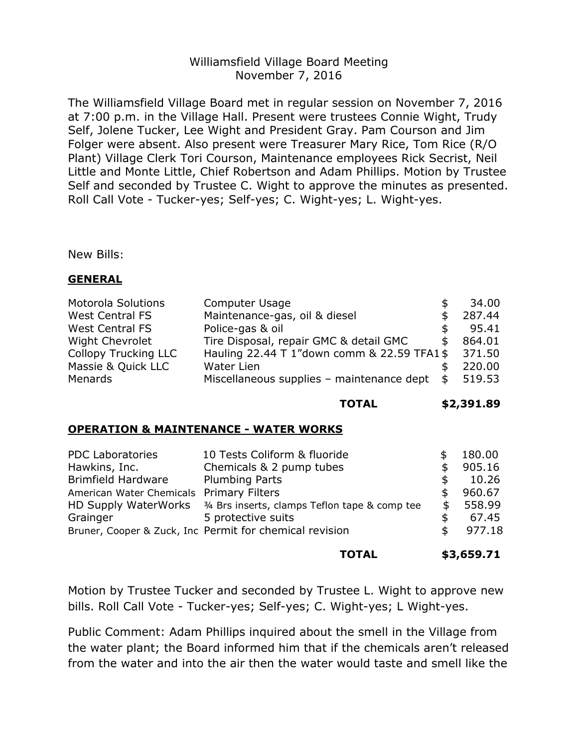## Williamsfield Village Board Meeting November 7, 2016

The Williamsfield Village Board met in regular session on November 7, 2016 at 7:00 p.m. in the Village Hall. Present were trustees Connie Wight, Trudy Self, Jolene Tucker, Lee Wight and President Gray. Pam Courson and Jim Folger were absent. Also present were Treasurer Mary Rice, Tom Rice (R/O Plant) Village Clerk Tori Courson, Maintenance employees Rick Secrist, Neil Little and Monte Little, Chief Robertson and Adam Phillips. Motion by Trustee Self and seconded by Trustee C. Wight to approve the minutes as presented. Roll Call Vote - Tucker-yes; Self-yes; C. Wight-yes; L. Wight-yes.

New Bills:

## **GENERAL**

| <b>Motorola Solutions</b>   | <b>Computer Usage</b>                       |     | 34.00  |
|-----------------------------|---------------------------------------------|-----|--------|
| <b>West Central FS</b>      | Maintenance-gas, oil & diesel               |     | 287.44 |
| <b>West Central FS</b>      | Police-gas & oil                            |     | 95.41  |
| <b>Wight Chevrolet</b>      | Tire Disposal, repair GMC & detail GMC      |     | 864.01 |
| <b>Collopy Trucking LLC</b> | Hauling 22.44 T 1"down comm & 22.59 TFA1 \$ |     | 371.50 |
| Massie & Quick LLC          | <b>Water Lien</b>                           |     | 220.00 |
| Menards                     | Miscellaneous supplies - maintenance dept   | \$. | 519.53 |

#### **TOTAL \$2,391.89**

## **OPERATION & MAINTENANCE - WATER WORKS**

| <b>PDC Laboratories</b>                                 | 10 Tests Coliform & fluoride                                                  |    | 180.00 |
|---------------------------------------------------------|-------------------------------------------------------------------------------|----|--------|
| Hawkins, Inc.                                           | Chemicals & 2 pump tubes                                                      |    | 905.16 |
| <b>Brimfield Hardware</b>                               | <b>Plumbing Parts</b>                                                         | \$ | 10.26  |
| American Water Chemicals Primary Filters                |                                                                               |    | 960.67 |
|                                                         | HD Supply WaterWorks <sup>34</sup> Brs inserts, clamps Teflon tape & comp tee |    | 558.99 |
| Grainger                                                | 5 protective suits                                                            | S  | 67.45  |
| Bruner, Cooper & Zuck, Inc Permit for chemical revision |                                                                               |    | 977.18 |
|                                                         |                                                                               |    |        |

#### **TOTAL \$3,659.71**

Motion by Trustee Tucker and seconded by Trustee L. Wight to approve new bills. Roll Call Vote - Tucker-yes; Self-yes; C. Wight-yes; L Wight-yes.

Public Comment: Adam Phillips inquired about the smell in the Village from the water plant; the Board informed him that if the chemicals aren't released from the water and into the air then the water would taste and smell like the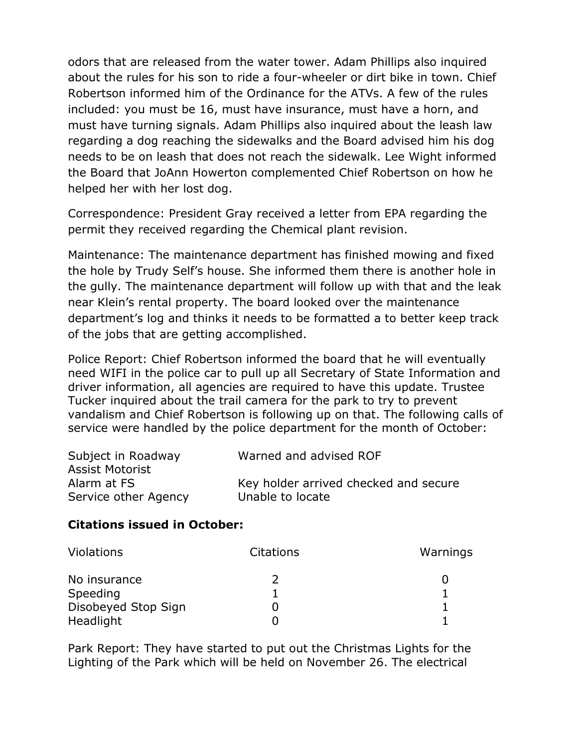odors that are released from the water tower. Adam Phillips also inquired about the rules for his son to ride a four-wheeler or dirt bike in town. Chief Robertson informed him of the Ordinance for the ATVs. A few of the rules included: you must be 16, must have insurance, must have a horn, and must have turning signals. Adam Phillips also inquired about the leash law regarding a dog reaching the sidewalks and the Board advised him his dog needs to be on leash that does not reach the sidewalk. Lee Wight informed the Board that JoAnn Howerton complemented Chief Robertson on how he helped her with her lost dog.

Correspondence: President Gray received a letter from EPA regarding the permit they received regarding the Chemical plant revision.

Maintenance: The maintenance department has finished mowing and fixed the hole by Trudy Self's house. She informed them there is another hole in the gully. The maintenance department will follow up with that and the leak near Klein's rental property. The board looked over the maintenance department's log and thinks it needs to be formatted a to better keep track of the jobs that are getting accomplished.

Police Report: Chief Robertson informed the board that he will eventually need WIFI in the police car to pull up all Secretary of State Information and driver information, all agencies are required to have this update. Trustee Tucker inquired about the trail camera for the park to try to prevent vandalism and Chief Robertson is following up on that. The following calls of service were handled by the police department for the month of October:

| Subject in Roadway     | Warned and advised ROF                |
|------------------------|---------------------------------------|
| <b>Assist Motorist</b> |                                       |
| Alarm at FS            | Key holder arrived checked and secure |
| Service other Agency   | Unable to locate                      |

# **Citations issued in October:**

| <b>Violations</b>   | Citations | Warnings |
|---------------------|-----------|----------|
| No insurance        |           |          |
| Speeding            |           |          |
| Disobeyed Stop Sign |           |          |
| Headlight           |           |          |

Park Report: They have started to put out the Christmas Lights for the Lighting of the Park which will be held on November 26. The electrical